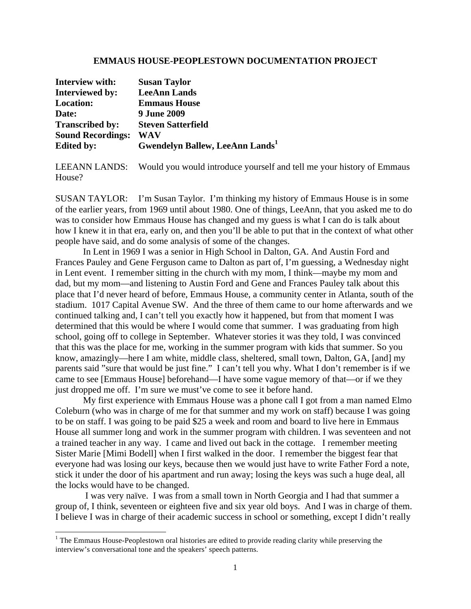## **EMMAUS HOUSE-PEOPLESTOWN DOCUMENTATION PROJECT**

| Interview with:          | <b>Susan Taylor</b>                         |
|--------------------------|---------------------------------------------|
| <b>Interviewed by:</b>   | <b>LeeAnn Lands</b>                         |
| <b>Location:</b>         | <b>Emmaus House</b>                         |
| Date:                    | <b>9 June 2009</b>                          |
| <b>Transcribed by:</b>   | <b>Steven Satterfield</b>                   |
| <b>Sound Recordings:</b> | WAV                                         |
| <b>Edited by:</b>        | Gwendelyn Ballew, LeeAnn Lands <sup>1</sup> |

LEEANN LANDS: Would you would introduce yourself and tell me your history of Emmaus House?

SUSAN TAYLOR: I'm Susan Taylor. I'm thinking my history of Emmaus House is in some of the earlier years, from 1969 until about 1980. One of things, LeeAnn, that you asked me to do was to consider how Emmaus House has changed and my guess is what I can do is talk about how I knew it in that era, early on, and then you'll be able to put that in the context of what other people have said, and do some analysis of some of the changes.

 In Lent in 1969 I was a senior in High School in Dalton, GA. And Austin Ford and Frances Pauley and Gene Ferguson came to Dalton as part of, I'm guessing, a Wednesday night in Lent event. I remember sitting in the church with my mom, I think—maybe my mom and dad, but my mom—and listening to Austin Ford and Gene and Frances Pauley talk about this place that I'd never heard of before, Emmaus House, a community center in Atlanta, south of the stadium. 1017 Capital Avenue SW. And the three of them came to our home afterwards and we continued talking and, I can't tell you exactly how it happened, but from that moment I was determined that this would be where I would come that summer. I was graduating from high school, going off to college in September. Whatever stories it was they told, I was convinced that this was the place for me, working in the summer program with kids that summer. So you know, amazingly—here I am white, middle class, sheltered, small town, Dalton, GA, [and] my parents said "sure that would be just fine." I can't tell you why. What I don't remember is if we came to see [Emmaus House] beforehand—I have some vague memory of that—or if we they just dropped me off. I'm sure we must've come to see it before hand.

 My first experience with Emmaus House was a phone call I got from a man named Elmo Coleburn (who was in charge of me for that summer and my work on staff) because I was going to be on staff. I was going to be paid \$25 a week and room and board to live here in Emmaus House all summer long and work in the summer program with children. I was seventeen and not a trained teacher in any way. I came and lived out back in the cottage. I remember meeting Sister Marie [Mimi Bodell] when I first walked in the door. I remember the biggest fear that everyone had was losing our keys, because then we would just have to write Father Ford a note, stick it under the door of his apartment and run away; losing the keys was such a huge deal, all the locks would have to be changed.

 I was very naïve. I was from a small town in North Georgia and I had that summer a group of, I think, seventeen or eighteen five and six year old boys. And I was in charge of them. I believe I was in charge of their academic success in school or something, except I didn't really

<sup>&</sup>lt;sup>1</sup> The Emmaus House-Peoplestown oral histories are edited to provide reading clarity while preserving the interview's conversational tone and the speakers' speech patterns.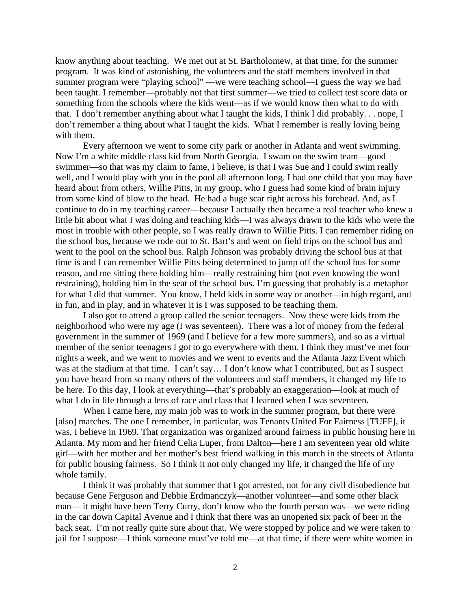know anything about teaching. We met out at St. Bartholomew, at that time, for the summer program. It was kind of astonishing, the volunteers and the staff members involved in that summer program were "playing school" —we were teaching school—I guess the way we had been taught. I remember—probably not that first summer—we tried to collect test score data or something from the schools where the kids went—as if we would know then what to do with that. I don't remember anything about what I taught the kids, I think I did probably. . . nope, I don't remember a thing about what I taught the kids. What I remember is really loving being with them.

 Every afternoon we went to some city park or another in Atlanta and went swimming. Now I'm a white middle class kid from North Georgia. I swam on the swim team—good swimmer—so that was my claim to fame, I believe, is that I was Sue and I could swim really well, and I would play with you in the pool all afternoon long. I had one child that you may have heard about from others, Willie Pitts, in my group, who I guess had some kind of brain injury from some kind of blow to the head. He had a huge scar right across his forehead. And, as I continue to do in my teaching career—because I actually then became a real teacher who knew a little bit about what I was doing and teaching kids—I was always drawn to the kids who were the most in trouble with other people, so I was really drawn to Willie Pitts. I can remember riding on the school bus, because we rode out to St. Bart's and went on field trips on the school bus and went to the pool on the school bus. Ralph Johnson was probably driving the school bus at that time is and I can remember Willie Pitts being determined to jump off the school bus for some reason, and me sitting there holding him—really restraining him (not even knowing the word restraining), holding him in the seat of the school bus. I'm guessing that probably is a metaphor for what I did that summer. You know, I held kids in some way or another—in high regard, and in fun, and in play, and in whatever it is I was supposed to be teaching them.

 I also got to attend a group called the senior teenagers. Now these were kids from the neighborhood who were my age (I was seventeen). There was a lot of money from the federal government in the summer of 1969 (and I believe for a few more summers), and so as a virtual member of the senior teenagers I got to go everywhere with them. I think they must've met four nights a week, and we went to movies and we went to events and the Atlanta Jazz Event which was at the stadium at that time. I can't say… I don't know what I contributed, but as I suspect you have heard from so many others of the volunteers and staff members, it changed my life to be here. To this day, I look at everything—that's probably an exaggeration—look at much of what I do in life through a lens of race and class that I learned when I was seventeen.

When I came here, my main job was to work in the summer program, but there were [also] marches. The one I remember, in particular, was Tenants United For Fairness [TUFF], it was, I believe in 1969. That organization was organized around fairness in public housing here in Atlanta. My mom and her friend Celia Luper, from Dalton—here I am seventeen year old white girl—with her mother and her mother's best friend walking in this march in the streets of Atlanta for public housing fairness. So I think it not only changed my life, it changed the life of my whole family.

 I think it was probably that summer that I got arrested, not for any civil disobedience but because Gene Ferguson and Debbie Erdmanczyk—another volunteer—and some other black man— it might have been Terry Curry, don't know who the fourth person was—we were riding in the car down Capital Avenue and I think that there was an unopened six pack of beer in the back seat. I'm not really quite sure about that. We were stopped by police and we were taken to jail for I suppose—I think someone must've told me—at that time, if there were white women in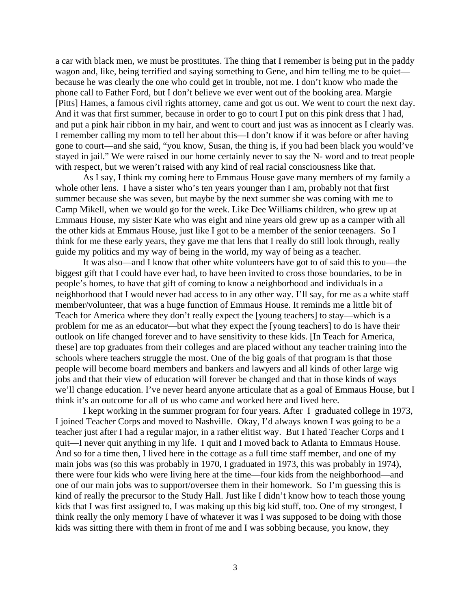a car with black men, we must be prostitutes. The thing that I remember is being put in the paddy wagon and, like, being terrified and saying something to Gene, and him telling me to be quiet because he was clearly the one who could get in trouble, not me. I don't know who made the phone call to Father Ford, but I don't believe we ever went out of the booking area. Margie [Pitts] Hames, a famous civil rights attorney, came and got us out. We went to court the next day. And it was that first summer, because in order to go to court I put on this pink dress that I had, and put a pink hair ribbon in my hair, and went to court and just was as innocent as I clearly was. I remember calling my mom to tell her about this—I don't know if it was before or after having gone to court—and she said, "you know, Susan, the thing is, if you had been black you would've stayed in jail." We were raised in our home certainly never to say the N- word and to treat people with respect, but we weren't raised with any kind of real racial consciousness like that.

 As I say, I think my coming here to Emmaus House gave many members of my family a whole other lens. I have a sister who's ten years younger than I am, probably not that first summer because she was seven, but maybe by the next summer she was coming with me to Camp Mikell, when we would go for the week. Like Dee Williams children, who grew up at Emmaus House, my sister Kate who was eight and nine years old grew up as a camper with all the other kids at Emmaus House, just like I got to be a member of the senior teenagers. So I think for me these early years, they gave me that lens that I really do still look through, really guide my politics and my way of being in the world, my way of being as a teacher.

 It was also—and I know that other white volunteers have got to of said this to you—the biggest gift that I could have ever had, to have been invited to cross those boundaries, to be in people's homes, to have that gift of coming to know a neighborhood and individuals in a neighborhood that I would never had access to in any other way. I'll say, for me as a white staff member/volunteer, that was a huge function of Emmaus House. It reminds me a little bit of Teach for America where they don't really expect the [young teachers] to stay—which is a problem for me as an educator—but what they expect the [young teachers] to do is have their outlook on life changed forever and to have sensitivity to these kids. [In Teach for America, these] are top graduates from their colleges and are placed without any teacher training into the schools where teachers struggle the most. One of the big goals of that program is that those people will become board members and bankers and lawyers and all kinds of other large wig jobs and that their view of education will forever be changed and that in those kinds of ways we'll change education. I've never heard anyone articulate that as a goal of Emmaus House, but I think it's an outcome for all of us who came and worked here and lived here.

 I kept working in the summer program for four years. After I graduated college in 1973, I joined Teacher Corps and moved to Nashville. Okay, I'd always known I was going to be a teacher just after I had a regular major, in a rather elitist way. But I hated Teacher Corps and I quit—I never quit anything in my life. I quit and I moved back to Atlanta to Emmaus House. And so for a time then, I lived here in the cottage as a full time staff member, and one of my main jobs was (so this was probably in 1970, I graduated in 1973, this was probably in 1974), there were four kids who were living here at the time—four kids from the neighborhood—and one of our main jobs was to support/oversee them in their homework. So I'm guessing this is kind of really the precursor to the Study Hall. Just like I didn't know how to teach those young kids that I was first assigned to, I was making up this big kid stuff, too. One of my strongest, I think really the only memory I have of whatever it was I was supposed to be doing with those kids was sitting there with them in front of me and I was sobbing because, you know, they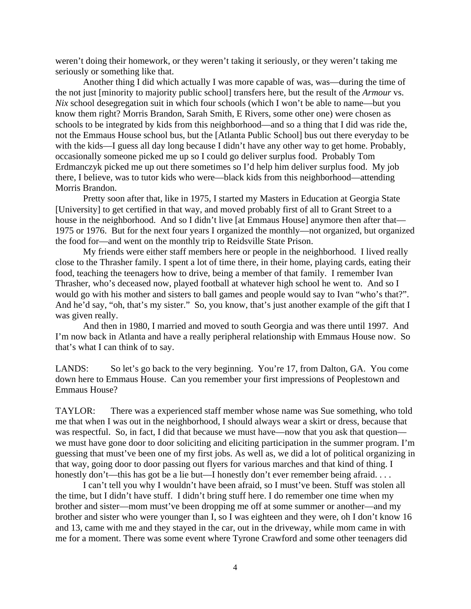weren't doing their homework, or they weren't taking it seriously, or they weren't taking me seriously or something like that.

 Another thing I did which actually I was more capable of was, was—during the time of the not just [minority to majority public school] transfers here, but the result of the *Armour* vs. *Nix* school desegregation suit in which four schools (which I won't be able to name—but you know them right? Morris Brandon, Sarah Smith, E Rivers, some other one) were chosen as schools to be integrated by kids from this neighborhood—and so a thing that I did was ride the, not the Emmaus House school bus, but the [Atlanta Public School] bus out there everyday to be with the kids—I guess all day long because I didn't have any other way to get home. Probably, occasionally someone picked me up so I could go deliver surplus food. Probably Tom Erdmanczyk picked me up out there sometimes so I'd help him deliver surplus food. My job there, I believe, was to tutor kids who were—black kids from this neighborhood—attending Morris Brandon.

 Pretty soon after that, like in 1975, I started my Masters in Education at Georgia State [University] to get certified in that way, and moved probably first of all to Grant Street to a house in the neighborhood. And so I didn't live [at Emmaus House] anymore then after that— 1975 or 1976. But for the next four years I organized the monthly—not organized, but organized the food for—and went on the monthly trip to Reidsville State Prison.

 My friends were either staff members here or people in the neighborhood. I lived really close to the Thrasher family. I spent a lot of time there, in their home, playing cards, eating their food, teaching the teenagers how to drive, being a member of that family. I remember Ivan Thrasher, who's deceased now, played football at whatever high school he went to. And so I would go with his mother and sisters to ball games and people would say to Ivan "who's that?". And he'd say, "oh, that's my sister." So, you know, that's just another example of the gift that I was given really.

 And then in 1980, I married and moved to south Georgia and was there until 1997. And I'm now back in Atlanta and have a really peripheral relationship with Emmaus House now. So that's what I can think of to say.

LANDS: So let's go back to the very beginning. You're 17, from Dalton, GA. You come down here to Emmaus House. Can you remember your first impressions of Peoplestown and Emmaus House?

TAYLOR: There was a experienced staff member whose name was Sue something, who told me that when I was out in the neighborhood, I should always wear a skirt or dress, because that was respectful. So, in fact, I did that because we must have—now that you ask that question we must have gone door to door soliciting and eliciting participation in the summer program. I'm guessing that must've been one of my first jobs. As well as, we did a lot of political organizing in that way, going door to door passing out flyers for various marches and that kind of thing. I honestly don't—this has got be a lie but—I honestly don't ever remember being afraid. . . .

 I can't tell you why I wouldn't have been afraid, so I must've been. Stuff was stolen all the time, but I didn't have stuff. I didn't bring stuff here. I do remember one time when my brother and sister—mom must've been dropping me off at some summer or another—and my brother and sister who were younger than I, so I was eighteen and they were, oh I don't know 16 and 13, came with me and they stayed in the car, out in the driveway, while mom came in with me for a moment. There was some event where Tyrone Crawford and some other teenagers did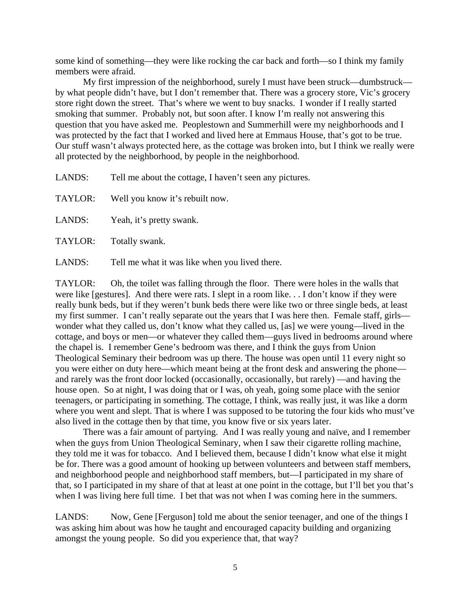some kind of something—they were like rocking the car back and forth—so I think my family members were afraid.

 My first impression of the neighborhood, surely I must have been struck—dumbstruck by what people didn't have, but I don't remember that. There was a grocery store, Vic's grocery store right down the street. That's where we went to buy snacks. I wonder if I really started smoking that summer. Probably not, but soon after. I know I'm really not answering this question that you have asked me. Peoplestown and Summerhill were my neighborhoods and I was protected by the fact that I worked and lived here at Emmaus House, that's got to be true. Our stuff wasn't always protected here, as the cottage was broken into, but I think we really were all protected by the neighborhood, by people in the neighborhood.

LANDS: Tell me about the cottage, I haven't seen any pictures.

| TAYLOR: | Well you know it's rebuilt now. |
|---------|---------------------------------|
|---------|---------------------------------|

LANDS: Yeah, it's pretty swank.

TAYLOR: Totally swank.

LANDS: Tell me what it was like when you lived there.

TAYLOR: Oh, the toilet was falling through the floor. There were holes in the walls that were like [gestures]. And there were rats. I slept in a room like. . . I don't know if they were really bunk beds, but if they weren't bunk beds there were like two or three single beds, at least my first summer. I can't really separate out the years that I was here then. Female staff, girls wonder what they called us, don't know what they called us, [as] we were young—lived in the cottage, and boys or men—or whatever they called them—guys lived in bedrooms around where the chapel is. I remember Gene's bedroom was there, and I think the guys from Union Theological Seminary their bedroom was up there. The house was open until 11 every night so you were either on duty here—which meant being at the front desk and answering the phone and rarely was the front door locked (occasionally, occasionally, but rarely) —and having the house open. So at night, I was doing that or I was, oh yeah, going some place with the senior teenagers, or participating in something. The cottage, I think, was really just, it was like a dorm where you went and slept. That is where I was supposed to be tutoring the four kids who must've also lived in the cottage then by that time, you know five or six years later.

 There was a fair amount of partying. And I was really young and naïve, and I remember when the guys from Union Theological Seminary, when I saw their cigarette rolling machine, they told me it was for tobacco. And I believed them, because I didn't know what else it might be for. There was a good amount of hooking up between volunteers and between staff members, and neighborhood people and neighborhood staff members, but—I participated in my share of that, so I participated in my share of that at least at one point in the cottage, but I'll bet you that's when I was living here full time. I bet that was not when I was coming here in the summers.

LANDS: Now, Gene [Ferguson] told me about the senior teenager, and one of the things I was asking him about was how he taught and encouraged capacity building and organizing amongst the young people. So did you experience that, that way?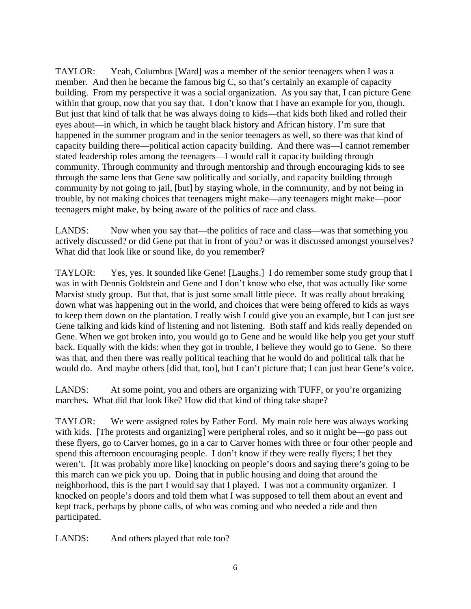TAYLOR: Yeah, Columbus [Ward] was a member of the senior teenagers when I was a member. And then he became the famous big C, so that's certainly an example of capacity building. From my perspective it was a social organization. As you say that, I can picture Gene within that group, now that you say that. I don't know that I have an example for you, though. But just that kind of talk that he was always doing to kids—that kids both liked and rolled their eyes about—in which, in which he taught black history and African history. I'm sure that happened in the summer program and in the senior teenagers as well, so there was that kind of capacity building there—political action capacity building. And there was—I cannot remember stated leadership roles among the teenagers—I would call it capacity building through community. Through community and through mentorship and through encouraging kids to see through the same lens that Gene saw politically and socially, and capacity building through community by not going to jail, [but] by staying whole, in the community, and by not being in trouble, by not making choices that teenagers might make—any teenagers might make—poor teenagers might make, by being aware of the politics of race and class.

LANDS: Now when you say that—the politics of race and class—was that something you actively discussed? or did Gene put that in front of you? or was it discussed amongst yourselves? What did that look like or sound like, do you remember?

TAYLOR: Yes, yes. It sounded like Gene! [Laughs.] I do remember some study group that I was in with Dennis Goldstein and Gene and I don't know who else, that was actually like some Marxist study group. But that, that is just some small little piece. It was really about breaking down what was happening out in the world, and choices that were being offered to kids as ways to keep them down on the plantation. I really wish I could give you an example, but I can just see Gene talking and kids kind of listening and not listening. Both staff and kids really depended on Gene. When we got broken into, you would go to Gene and he would like help you get your stuff back. Equally with the kids: when they got in trouble, I believe they would go to Gene. So there was that, and then there was really political teaching that he would do and political talk that he would do. And maybe others [did that, too], but I can't picture that; I can just hear Gene's voice.

LANDS: At some point, you and others are organizing with TUFF, or you're organizing marches. What did that look like? How did that kind of thing take shape?

TAYLOR: We were assigned roles by Father Ford. My main role here was always working with kids. [The protests and organizing] were peripheral roles, and so it might be—go pass out these flyers, go to Carver homes, go in a car to Carver homes with three or four other people and spend this afternoon encouraging people. I don't know if they were really flyers; I bet they weren't. [It was probably more like] knocking on people's doors and saying there's going to be this march can we pick you up. Doing that in public housing and doing that around the neighborhood, this is the part I would say that I played. I was not a community organizer. I knocked on people's doors and told them what I was supposed to tell them about an event and kept track, perhaps by phone calls, of who was coming and who needed a ride and then participated.

LANDS: And others played that role too?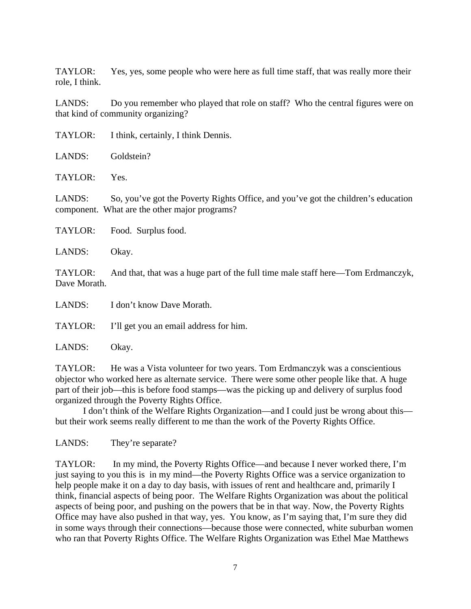TAYLOR: Yes, yes, some people who were here as full time staff, that was really more their role, I think.

LANDS: Do you remember who played that role on staff? Who the central figures were on that kind of community organizing?

| I think, certainly, I think Dennis.<br>TAYLOR: |
|------------------------------------------------|
|------------------------------------------------|

LANDS: Goldstein?

TAYLOR: Yes.

LANDS: So, you've got the Poverty Rights Office, and you've got the children's education component. What are the other major programs?

- TAYLOR: Food. Surplus food.
- LANDS: Okay.

TAYLOR: And that, that was a huge part of the full time male staff here—Tom Erdmanczyk, Dave Morath.

LANDS: I don't know Dave Morath.

TAYLOR: I'll get you an email address for him.

LANDS: Okay.

TAYLOR: He was a Vista volunteer for two years. Tom Erdmanczyk was a conscientious objector who worked here as alternate service. There were some other people like that. A huge part of their job—this is before food stamps—was the picking up and delivery of surplus food organized through the Poverty Rights Office.

 I don't think of the Welfare Rights Organization—and I could just be wrong about this but their work seems really different to me than the work of the Poverty Rights Office.

LANDS: They're separate?

TAYLOR: In my mind, the Poverty Rights Office—and because I never worked there, I'm just saying to you this is in my mind—the Poverty Rights Office was a service organization to help people make it on a day to day basis, with issues of rent and healthcare and, primarily I think, financial aspects of being poor. The Welfare Rights Organization was about the political aspects of being poor, and pushing on the powers that be in that way. Now, the Poverty Rights Office may have also pushed in that way, yes. You know, as I'm saying that, I'm sure they did in some ways through their connections—because those were connected, white suburban women who ran that Poverty Rights Office. The Welfare Rights Organization was Ethel Mae Matthews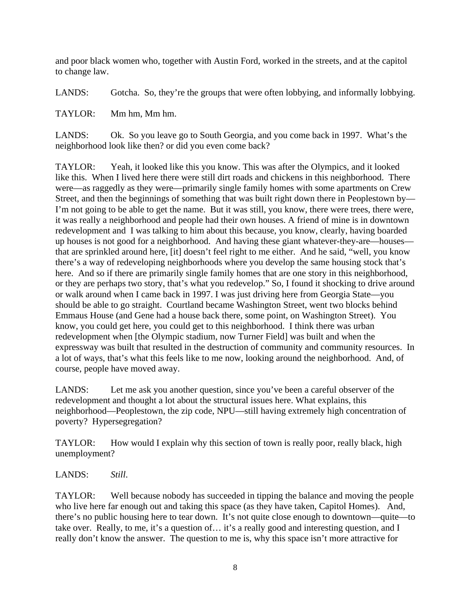and poor black women who, together with Austin Ford, worked in the streets, and at the capitol to change law.

LANDS: Gotcha. So, they're the groups that were often lobbying, and informally lobbying.

TAYLOR: Mm hm, Mm hm.

LANDS: Ok. So you leave go to South Georgia, and you come back in 1997. What's the neighborhood look like then? or did you even come back?

TAYLOR: Yeah, it looked like this you know. This was after the Olympics, and it looked like this. When I lived here there were still dirt roads and chickens in this neighborhood. There were—as raggedly as they were—primarily single family homes with some apartments on Crew Street, and then the beginnings of something that was built right down there in Peoplestown by— I'm not going to be able to get the name. But it was still, you know, there were trees, there were, it was really a neighborhood and people had their own houses. A friend of mine is in downtown redevelopment and I was talking to him about this because, you know, clearly, having boarded up houses is not good for a neighborhood. And having these giant whatever-they-are—houses that are sprinkled around here, [it] doesn't feel right to me either. And he said, "well, you know there's a way of redeveloping neighborhoods where you develop the same housing stock that's here. And so if there are primarily single family homes that are one story in this neighborhood, or they are perhaps two story, that's what you redevelop." So, I found it shocking to drive around or walk around when I came back in 1997. I was just driving here from Georgia State—you should be able to go straight. Courtland became Washington Street, went two blocks behind Emmaus House (and Gene had a house back there, some point, on Washington Street). You know, you could get here, you could get to this neighborhood. I think there was urban redevelopment when [the Olympic stadium, now Turner Field] was built and when the expressway was built that resulted in the destruction of community and community resources. In a lot of ways, that's what this feels like to me now, looking around the neighborhood. And, of course, people have moved away.

LANDS: Let me ask you another question, since you've been a careful observer of the redevelopment and thought a lot about the structural issues here. What explains, this neighborhood—Peoplestown, the zip code, NPU—still having extremely high concentration of poverty? Hypersegregation?

TAYLOR: How would I explain why this section of town is really poor, really black, high unemployment?

LANDS: *Still*.

TAYLOR: Well because nobody has succeeded in tipping the balance and moving the people who live here far enough out and taking this space (as they have taken, Capitol Homes). And, there's no public housing here to tear down. It's not quite close enough to downtown—quite—to take over. Really, to me, it's a question of… it's a really good and interesting question, and I really don't know the answer. The question to me is, why this space isn't more attractive for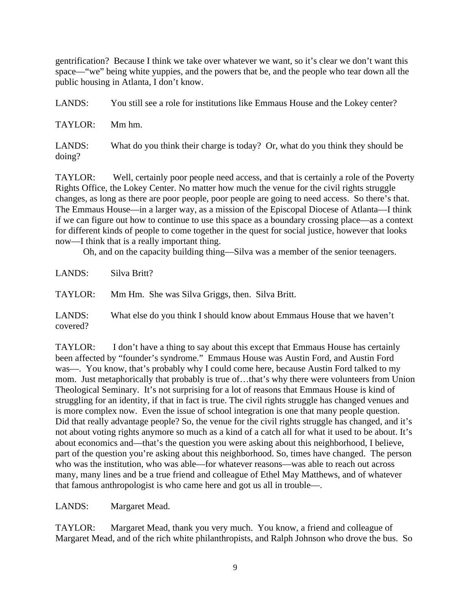gentrification? Because I think we take over whatever we want, so it's clear we don't want this space—"we" being white yuppies, and the powers that be, and the people who tear down all the public housing in Atlanta, I don't know.

LANDS: You still see a role for institutions like Emmaus House and the Lokey center? TAYLOR: Mm hm. LANDS: What do you think their charge is today? Or, what do you think they should be doing?

TAYLOR: Well, certainly poor people need access, and that is certainly a role of the Poverty Rights Office, the Lokey Center. No matter how much the venue for the civil rights struggle changes, as long as there are poor people, poor people are going to need access. So there's that. The Emmaus House—in a larger way, as a mission of the Episcopal Diocese of Atlanta—I think if we can figure out how to continue to use this space as a boundary crossing place—as a context for different kinds of people to come together in the quest for social justice, however that looks now—I think that is a really important thing.

Oh, and on the capacity building thing—Silva was a member of the senior teenagers.

LANDS: Silva Britt? TAYLOR: Mm Hm. She was Silva Griggs, then. Silva Britt.

LANDS: What else do you think I should know about Emmaus House that we haven't covered?

TAYLOR: I don't have a thing to say about this except that Emmaus House has certainly been affected by "founder's syndrome." Emmaus House was Austin Ford, and Austin Ford was—. You know, that's probably why I could come here, because Austin Ford talked to my mom. Just metaphorically that probably is true of…that's why there were volunteers from Union Theological Seminary. It's not surprising for a lot of reasons that Emmaus House is kind of struggling for an identity, if that in fact is true. The civil rights struggle has changed venues and is more complex now. Even the issue of school integration is one that many people question. Did that really advantage people? So, the venue for the civil rights struggle has changed, and it's not about voting rights anymore so much as a kind of a catch all for what it used to be about. It's about economics and—that's the question you were asking about this neighborhood, I believe, part of the question you're asking about this neighborhood. So, times have changed. The person who was the institution, who was able—for whatever reasons—was able to reach out across many, many lines and be a true friend and colleague of Ethel May Matthews, and of whatever that famous anthropologist is who came here and got us all in trouble—.

LANDS: Margaret Mead.

TAYLOR: Margaret Mead, thank you very much. You know, a friend and colleague of Margaret Mead, and of the rich white philanthropists, and Ralph Johnson who drove the bus. So